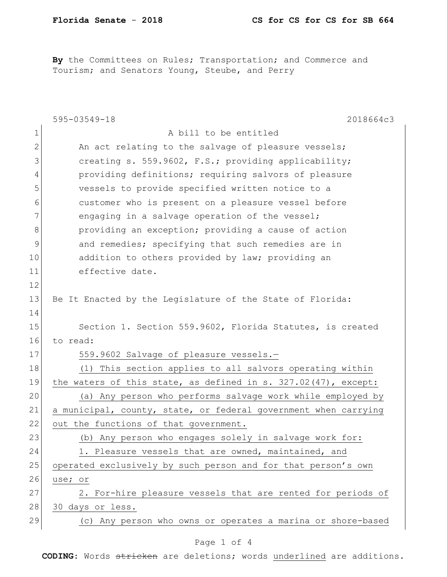By the Committees on Rules; Transportation; and Commerce and Tourism; and Senators Young, Steube, and Perry

|              | 2018664c3<br>$595 - 03549 - 18$                                   |
|--------------|-------------------------------------------------------------------|
| 1            | A bill to be entitled                                             |
| $\mathbf{2}$ | An act relating to the salvage of pleasure vessels;               |
| 3            | creating s. 559.9602, F.S.; providing applicability;              |
| 4            | providing definitions; requiring salvors of pleasure              |
| 5            | vessels to provide specified written notice to a                  |
| 6            | customer who is present on a pleasure vessel before               |
| 7            | engaging in a salvage operation of the vessel;                    |
| $8\,$        | providing an exception; providing a cause of action               |
| 9            | and remedies; specifying that such remedies are in                |
| 10           | addition to others provided by law; providing an                  |
| 11           | effective date.                                                   |
| 12           |                                                                   |
| 13           | Be It Enacted by the Legislature of the State of Florida:         |
| 14           |                                                                   |
| 15           | Section 1. Section 559.9602, Florida Statutes, is created         |
| 16           | to read:                                                          |
| 17           | 559.9602 Salvage of pleasure vessels.-                            |
| 18           | (1) This section applies to all salvors operating within          |
| 19           | the waters of this state, as defined in s. $327.02(47)$ , except: |
| 20           | (a) Any person who performs salvage work while employed by        |
| 21           | a municipal, county, state, or federal government when carrying   |
| 22           | out the functions of that government.                             |
| 23           | Any person who engages solely in salvage work for:<br>(b)         |
| 24           | 1. Pleasure vessels that are owned, maintained, and               |
| 25           | operated exclusively by such person and for that person's own     |
| 26           | use; or                                                           |
| 27           | 2. For-hire pleasure vessels that are rented for periods of       |
| 28           | 30 days or less.                                                  |
| 29           | (c) Any person who owns or operates a marina or shore-based       |
|              | $\epsilon$<br>$\mathbf{1}$                                        |

## Page 1 of 4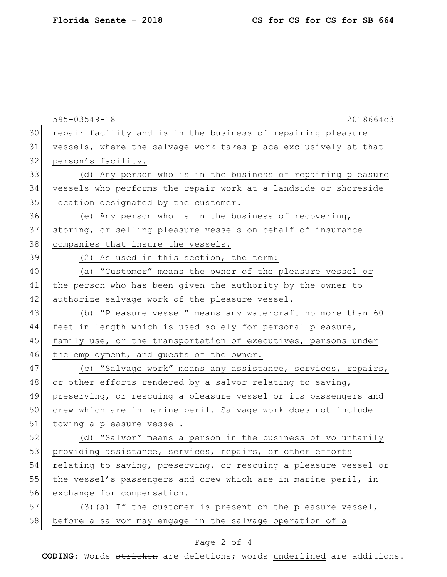|    | 595-03549-18<br>2018664c3                                        |
|----|------------------------------------------------------------------|
| 30 | repair facility and is in the business of repairing pleasure     |
| 31 | vessels, where the salvage work takes place exclusively at that  |
| 32 | person's facility.                                               |
| 33 | (d) Any person who is in the business of repairing pleasure      |
| 34 | vessels who performs the repair work at a landside or shoreside  |
| 35 | location designated by the customer.                             |
| 36 | (e) Any person who is in the business of recovering,             |
| 37 | storing, or selling pleasure vessels on behalf of insurance      |
| 38 | companies that insure the vessels.                               |
| 39 | (2) As used in this section, the term:                           |
| 40 | (a) "Customer" means the owner of the pleasure vessel or         |
| 41 | the person who has been given the authority by the owner to      |
| 42 | authorize salvage work of the pleasure vessel.                   |
| 43 | (b) "Pleasure vessel" means any watercraft no more than 60       |
| 44 | feet in length which is used solely for personal pleasure,       |
| 45 | family use, or the transportation of executives, persons under   |
| 46 | the employment, and guests of the owner.                         |
| 47 | (c) "Salvage work" means any assistance, services, repairs,      |
| 48 | or other efforts rendered by a salvor relating to saving,        |
| 49 | preserving, or rescuing a pleasure vessel or its passengers and  |
| 50 | crew which are in marine peril. Salvage work does not include    |
| 51 | towing a pleasure vessel.                                        |
| 52 | (d) "Salvor" means a person in the business of voluntarily       |
| 53 | providing assistance, services, repairs, or other efforts        |
| 54 | relating to saving, preserving, or rescuing a pleasure vessel or |
| 55 | the vessel's passengers and crew which are in marine peril, in   |
| 56 | exchange for compensation.                                       |
| 57 | (3) (a) If the customer is present on the pleasure vessel,       |
| 58 | before a salvor may engage in the salvage operation of a         |

## Page 2 of 4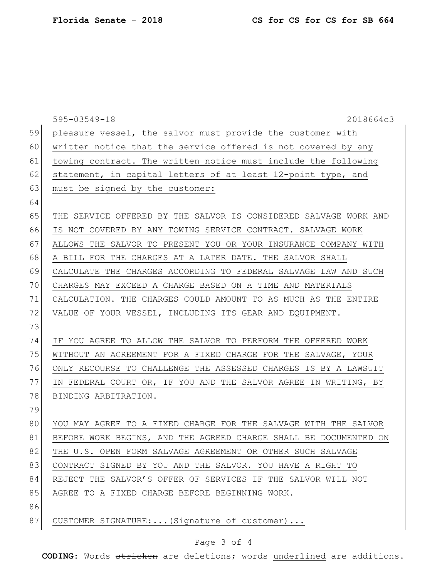|    | 595-03549-18<br>2018664c3                                        |
|----|------------------------------------------------------------------|
| 59 | pleasure vessel, the salvor must provide the customer with       |
| 60 | written notice that the service offered is not covered by any    |
| 61 | towing contract. The written notice must include the following   |
| 62 | statement, in capital letters of at least 12-point type, and     |
| 63 | must be signed by the customer:                                  |
| 64 |                                                                  |
| 65 | THE SERVICE OFFERED BY THE SALVOR IS CONSIDERED SALVAGE WORK AND |
| 66 | IS NOT COVERED BY ANY TOWING SERVICE CONTRACT. SALVAGE WORK      |
| 67 | ALLOWS THE SALVOR TO PRESENT YOU OR YOUR INSURANCE COMPANY WITH  |
| 68 | A BILL FOR THE CHARGES AT A LATER DATE. THE SALVOR SHALL         |
| 69 | CALCULATE THE CHARGES ACCORDING TO FEDERAL SALVAGE LAW AND SUCH  |
| 70 | CHARGES MAY EXCEED A CHARGE BASED ON A TIME AND MATERIALS        |
| 71 | CALCULATION. THE CHARGES COULD AMOUNT TO AS MUCH AS THE ENTIRE   |
| 72 | VALUE OF YOUR VESSEL, INCLUDING ITS GEAR AND EQUIPMENT.          |
| 73 |                                                                  |
| 74 | IF YOU AGREE TO ALLOW THE SALVOR TO PERFORM THE OFFERED WORK     |
| 75 | WITHOUT AN AGREEMENT FOR A FIXED CHARGE FOR THE SALVAGE, YOUR    |
| 76 | ONLY RECOURSE TO CHALLENGE THE ASSESSED CHARGES IS BY A LAWSUIT  |
| 77 | IN FEDERAL COURT OR, IF YOU AND THE SALVOR AGREE IN WRITING, BY  |
| 78 | BINDING ARBITRATION.                                             |
| 79 |                                                                  |
| 80 | YOU MAY AGREE TO A FIXED CHARGE FOR THE SALVAGE WITH THE SALVOR  |
| 81 | BEFORE WORK BEGINS, AND THE AGREED CHARGE SHALL BE DOCUMENTED ON |
| 82 | THE U.S. OPEN FORM SALVAGE AGREEMENT OR OTHER SUCH SALVAGE       |
| 83 | CONTRACT SIGNED BY YOU AND THE SALVOR. YOU HAVE A RIGHT TO       |
| 84 | REJECT THE SALVOR'S OFFER OF SERVICES IF THE SALVOR WILL NOT     |
| 85 | AGREE TO A FIXED CHARGE BEFORE BEGINNING WORK.                   |
| 86 |                                                                  |
| 87 | CUSTOMER SIGNATURE: (Signature of customer)                      |

## Page 3 of 4